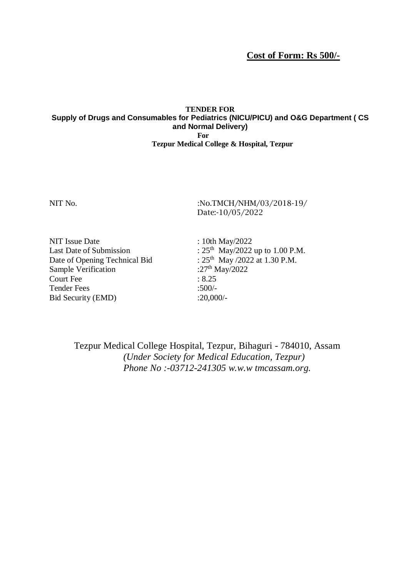**Cost of Form: Rs 500/-**

### **TENDER FOR Supply of Drugs and Consumables for Pediatrics (NICU/PICU) and O&G Department ( CS and Normal Delivery) For Tezpur Medical College & Hospital, Tezpur**

NIT No. 2018-19/100. No.TMCH/NHM/03/2018-19/100. Date:-10/05/2022

NIT Issue Date : 10th May/2022 Last Date of Submission Date of Opening Technical Bid Sample Verification Court Fee : 8.25<br>Tender Fees : 8.25 Tender Fees Bid Security (EMD) :20,000/-

<sup>th</sup> May/2022 up to 1.00 P.M. th May  $/2022$  at 1.30 P.M. : $27^{th}$  May/2022

Tezpur Medical College Hospital, Tezpur, Bihaguri - 784010, Assam *(Under Society for Medical Education, Tezpur) Phone No :-03712-241305 w.w.w tmcassam.org.*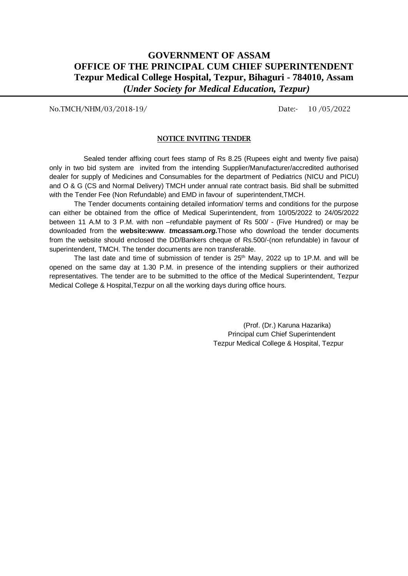## **GOVERNMENT OF ASSAM OFFICE OF THE PRINCIPAL CUM CHIEF SUPERINTENDENT Tezpur Medical College Hospital, Tezpur, Bihaguri - 784010, Assam** *(Under Society for Medical Education, Tezpur)*

No.TMCH/NHM/03/2018-19/ Date:- 10/05/2022

#### **NOTICE INVITING TENDER**

 Sealed tender affixing court fees stamp of Rs 8.25 (Rupees eight and twenty five paisa) only in two bid system are invited from the intending Supplier/Manufacturer/accredited authorised dealer for supply of Medicines and Consumables for the department of Pediatrics (NICU and PICU) and O & G (CS and Normal Delivery) TMCH under annual rate contract basis. Bid shall be submitted with the Tender Fee (Non Refundable) and EMD in favour of superintendent,TMCH.

The Tender documents containing detailed information/ terms and conditions for the purpose can either be obtained from the office of Medical Superintendent, from 10/05/2022 to 24/05/2022 between 11 A.M to 3 P.M. with non –refundable payment of Rs 500/ - (Five Hundred) or may be downloaded from the **website:www**. *tmcassam.org.*Those who download the tender documents from the website should enclosed the DD/Bankers cheque of Rs.500/-(non refundable) in favour of superintendent, TMCH. The tender documents are non transferable.

The last date and time of submission of tender is 25<sup>th</sup> May, 2022 up to 1P.M. and will be opened on the same day at 1.30 P.M. in presence of the intending suppliers or their authorized representatives. The tender are to be submitted to the office of the Medical Superintendent, Tezpur Medical College & Hospital,Tezpur on all the working days during office hours.

> (Prof. (Dr.) Karuna Hazarika) Principal cum Chief Superintendent Tezpur Medical College & Hospital, Tezpur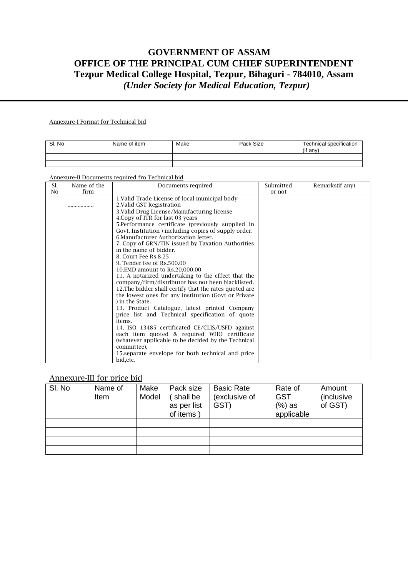# **GOVERNMENT OF ASSAM OFFICE OF THE PRINCIPAL CUM CHIEF SUPERINTENDENT Tezpur Medical College Hospital, Tezpur, Bihaguri - 784010, Assam** *(Under Society for Medical Education, Tezpur)*

#### Annexure-I Format for Technical bid

| SI. No | Name of item | Make | Pack Size | Technical specification<br>$($ if any $)$ |
|--------|--------------|------|-----------|-------------------------------------------|
|        |              |      |           |                                           |
|        |              |      |           |                                           |

#### Annexure-II Documents required fro Technical bid

| Sl.            | Name of the | Documents required                                                                                                         | Submitted | Remarks(if any) |
|----------------|-------------|----------------------------------------------------------------------------------------------------------------------------|-----------|-----------------|
| N <sub>0</sub> | firm        |                                                                                                                            | or not    |                 |
|                |             | 1. Valid Trade License of local municipal body<br>2. Valid GST Registration<br>3. Valid Drug License/Manufacturing license |           |                 |
|                |             | 4. Copy of ITR for last 03 years                                                                                           |           |                 |
|                |             | 5. Performance certificate (previously supplied in                                                                         |           |                 |
|                |             | Govt. Institution ) including copies of supply order.                                                                      |           |                 |
|                |             | 6. Manufacturer Authorization letter.                                                                                      |           |                 |
|                |             | 7. Copy of GRN/TIN issued by Taxation Authorities                                                                          |           |                 |
|                |             | in the name of bidder.                                                                                                     |           |                 |
|                |             | 8. Court Fee Rs.8.25                                                                                                       |           |                 |
|                |             | 9. Tender fee of Rs.500.00                                                                                                 |           |                 |
|                |             | 10.EMD amount to Rs.20,000.00                                                                                              |           |                 |
|                |             | 11. A notarized undertaking to the effect that the                                                                         |           |                 |
|                |             | company/firm/distributor has not been blacklisted.                                                                         |           |                 |
|                |             | 12. The bidder shall certify that the rates quoted are                                                                     |           |                 |
|                |             | the lowest ones for any institution (Govt or Private                                                                       |           |                 |
|                |             | ) in the State.                                                                                                            |           |                 |
|                |             | 13. Product Catalogue, latest printed Company                                                                              |           |                 |
|                |             | price list and Technical specification of quote<br>items.                                                                  |           |                 |
|                |             | 14. ISO 13485 certificated CE/CLIS/USFD against                                                                            |           |                 |
|                |             | each item quoted & required WHO certificate                                                                                |           |                 |
|                |             | (whatever applicable to be decided by the Technical                                                                        |           |                 |
|                |             | committee).                                                                                                                |           |                 |
|                |             | 15 separate envelope for both technical and price                                                                          |           |                 |
|                |             | bid, etc.                                                                                                                  |           |                 |

## Annexure-III for price bid

| SI. No | Name of<br>Item | Make<br>Model | Pack size<br>shall be<br>as per list<br>of items | <b>Basic Rate</b><br>(exclusive of<br>GST) | Rate of<br><b>GST</b><br>$(\%)$ as<br>applicable | Amount<br><i>(inclusive)</i><br>of GST) |
|--------|-----------------|---------------|--------------------------------------------------|--------------------------------------------|--------------------------------------------------|-----------------------------------------|
|        |                 |               |                                                  |                                            |                                                  |                                         |
|        |                 |               |                                                  |                                            |                                                  |                                         |
|        |                 |               |                                                  |                                            |                                                  |                                         |
|        |                 |               |                                                  |                                            |                                                  |                                         |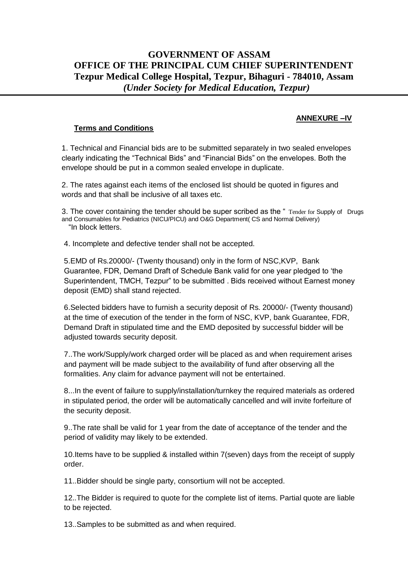# **GOVERNMENT OF ASSAM OFFICE OF THE PRINCIPAL CUM CHIEF SUPERINTENDENT Tezpur Medical College Hospital, Tezpur, Bihaguri - 784010, Assam** *(Under Society for Medical Education, Tezpur)*

### **ANNEXURE –IV**

### **Terms and Conditions**

1. Technical and Financial bids are to be submitted separately in two sealed envelopes clearly indicating the "Technical Bids" and "Financial Bids" on the envelopes. Both the envelope should be put in a common sealed envelope in duplicate.

2. The rates against each items of the enclosed list should be quoted in figures and words and that shall be inclusive of all taxes etc.

3. The cover containing the tender should be super scribed as the " Tender for Supply of Drugs and Consumables for Pediatrics (NICU/PICU) and O&G Department( CS and Normal Delivery) "In block letters.

4. Incomplete and defective tender shall not be accepted.

5.EMD of Rs.20000/- (Twenty thousand) only in the form of NSC,KVP, Bank Guarantee, FDR, Demand Draft of Schedule Bank valid for one year pledged to 'the Superintendent, TMCH, Tezpur" to be submitted . Bids received without Earnest money deposit (EMD) shall stand rejected.

6.Selected bidders have to furnish a security deposit of Rs. 20000/- (Twenty thousand) at the time of execution of the tender in the form of NSC, KVP, bank Guarantee, FDR, Demand Draft in stipulated time and the EMD deposited by successful bidder will be adjusted towards security deposit.

7..The work/Supply/work charged order will be placed as and when requirement arises and payment will be made subject to the availability of fund after observing all the formalities. Any claim for advance payment will not be entertained.

8...In the event of failure to supply/installation/turnkey the required materials as ordered in stipulated period, the order will be automatically cancelled and will invite forfeiture of the security deposit.

9..The rate shall be valid for 1 year from the date of acceptance of the tender and the period of validity may likely to be extended.

10.Items have to be supplied & installed within 7(seven) days from the receipt of supply order.

11..Bidder should be single party, consortium will not be accepted.

12..The Bidder is required to quote for the complete list of items. Partial quote are liable to be rejected.

13..Samples to be submitted as and when required.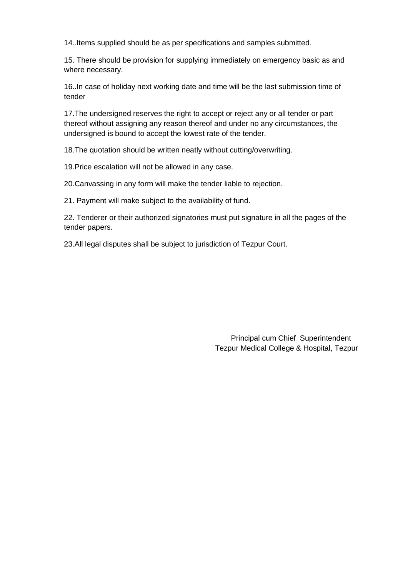14..Items supplied should be as per specifications and samples submitted.

15. There should be provision for supplying immediately on emergency basic as and where necessary.

16..In case of holiday next working date and time will be the last submission time of tender

17.The undersigned reserves the right to accept or reject any or all tender or part thereof without assigning any reason thereof and under no any circumstances, the undersigned is bound to accept the lowest rate of the tender.

18.The quotation should be written neatly without cutting/overwriting.

19.Price escalation will not be allowed in any case.

20.Canvassing in any form will make the tender liable to rejection.

21. Payment will make subject to the availability of fund.

22. Tenderer or their authorized signatories must put signature in all the pages of the tender papers.

23.All legal disputes shall be subject to jurisdiction of Tezpur Court.

 Principal cum Chief Superintendent Tezpur Medical College & Hospital, Tezpur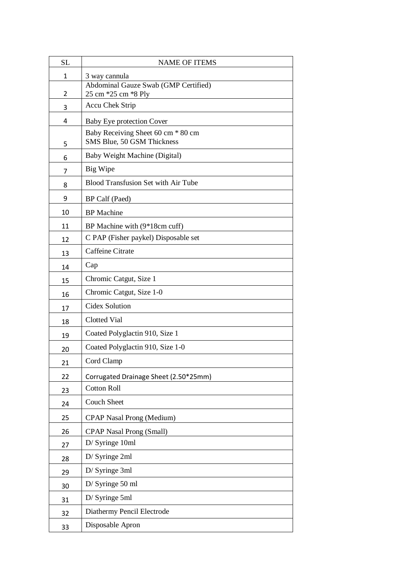| <b>SL</b>    | <b>NAME OF ITEMS</b>                                             |
|--------------|------------------------------------------------------------------|
| $\mathbf{1}$ | 3 way cannula                                                    |
| 2            | Abdominal Gauze Swab (GMP Certified)<br>25 cm *25 cm *8 Ply      |
| 3            | Accu Chek Strip                                                  |
| 4            | <b>Baby Eye protection Cover</b>                                 |
| 5            | Baby Receiving Sheet 60 cm * 80 cm<br>SMS Blue, 50 GSM Thickness |
| 6            | Baby Weight Machine (Digital)                                    |
| 7            | Big Wipe                                                         |
| 8            | <b>Blood Transfusion Set with Air Tube</b>                       |
| 9            | BP Calf (Paed)                                                   |
| 10           | <b>BP</b> Machine                                                |
| 11           | BP Machine with (9*18cm cuff)                                    |
| 12           | C PAP (Fisher paykel) Disposable set                             |
| 13           | Caffeine Citrate                                                 |
| 14           | Cap                                                              |
| 15           | Chromic Catgut, Size 1                                           |
| 16           | Chromic Catgut, Size 1-0                                         |
| 17           | Cidex Solution                                                   |
| 18           | <b>Clotted Vial</b>                                              |
| 19           | Coated Polyglactin 910, Size 1                                   |
| 20           | Coated Polyglactin 910, Size 1-0                                 |
| 21           | Cord Clamp                                                       |
| 22           | Corrugated Drainage Sheet (2.50*25mm)                            |
| 23           | <b>Cotton Roll</b>                                               |
| 24           | <b>Couch Sheet</b>                                               |
| 25           | <b>CPAP Nasal Prong (Medium)</b>                                 |
| 26           | <b>CPAP Nasal Prong (Small)</b>                                  |
| 27           | D/ Syringe 10ml                                                  |
| 28           | D/ Syringe 2ml                                                   |
| 29           | D/ Syringe 3ml                                                   |
| 30           | D/ Syringe 50 ml                                                 |
| 31           | D/ Syringe 5ml                                                   |
| 32           | Diathermy Pencil Electrode                                       |
| 33           | Disposable Apron                                                 |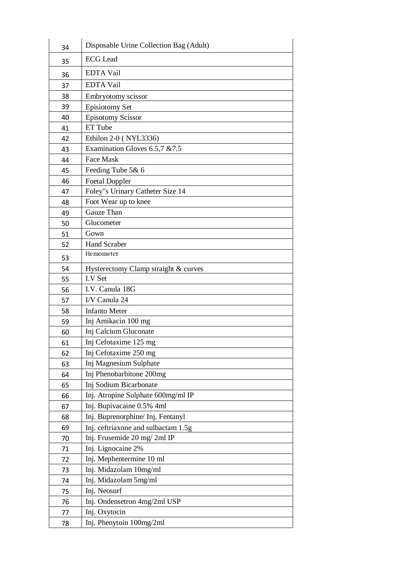| 34 | Disposable Urine Collection Bag (Adult) |
|----|-----------------------------------------|
| 35 | <b>ECG</b> Lead                         |
| 36 | <b>EDTA Vail</b>                        |
| 37 | <b>EDTA Vail</b>                        |
| 38 | Embryotomy scissor                      |
| 39 | <b>Episiotomy Set</b>                   |
| 40 | <b>Episotomy Scissor</b>                |
| 41 | ET Tube                                 |
| 42 | Ethilon 2-0 (NYL3336)                   |
| 43 | Examination Gloves 6.5,7 & 7.5          |
| 44 | Face Mask                               |
| 45 | Feeding Tube 5& 6                       |
| 46 | <b>Foetal Doppler</b>                   |
| 47 | Foley"s Urinary Catheter Size 14        |
| 48 | Foot Wear up to knee                    |
| 49 | Gauze Than                              |
| 50 | Glucometer                              |
| 51 | Gown                                    |
| 52 | <b>Hand Scraber</b>                     |
| 53 | Hemometer                               |
| 54 | Hysterectomy Clamp straight & curves    |
| 55 | I.V Set                                 |
| 56 | I.V. Canula 18G                         |
| 57 | I/V Canula 24                           |
| 58 | <b>Infanto Meter</b>                    |
| 59 | Inj Amikacin 100 mg                     |
| 60 | Inj Calcium Gluconate                   |
| 61 | Inj Cefotaxime 125 mg                   |
| 62 | Inj Cefotaxime 250 mg                   |
| 63 | Inj Magnesium Sulphate                  |
| 64 | Inj Phenobarbitone 200mg                |
| 65 | Inj Sodium Bicarbonate                  |
| 66 | Inj. Atropine Sulphate 600mg/ml IP      |
| 67 | Inj. Bupivacaine 0.5% 4ml               |
| 68 | Inj. Buprenorphine/ Inj. Fentanyl       |
| 69 | Inj. ceftriaxone and sulbactam 1.5g     |
| 70 | Inj. Frusemide 20 mg/2ml IP             |
| 71 | Inj. Lignocaine 2%                      |
| 72 | Inj. Mephentermine 10 ml                |
| 73 | Inj. Midazolam 10mg/ml                  |
| 74 | Inj. Midazolam 5mg/ml                   |
| 75 | Inj. Neosurf                            |
| 76 | Inj. Ondensetron 4mg/2ml USP            |
| 77 | Inj. Oxytocin                           |
| 78 | Inj. Phenytoin 100mg/2ml                |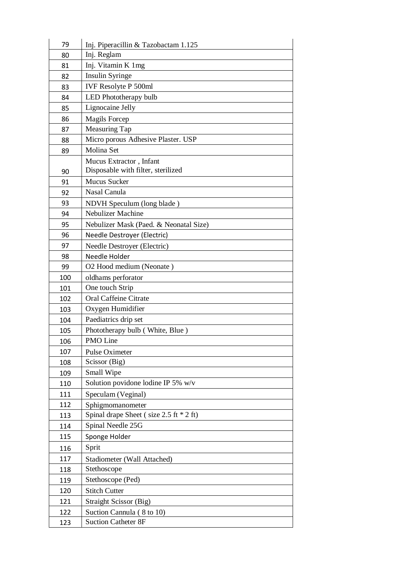| 79  | Inj. Piperacillin & Tazobactam 1.125        |
|-----|---------------------------------------------|
| 80  | Inj. Reglam                                 |
| 81  | Inj. Vitamin K 1mg                          |
| 82  | Insulin Syringe                             |
| 83  | IVF Resolyte P 500ml                        |
| 84  | LED Phototherapy bulb                       |
| 85  | Lignocaine Jelly                            |
| 86  | <b>Magils Forcep</b>                        |
| 87  | <b>Measuring Tap</b>                        |
| 88  | Micro porous Adhesive Plaster. USP          |
| 89  | Molina Set                                  |
|     | Mucus Extractor, Infant                     |
| 90  | Disposable with filter, sterilized          |
| 91  | <b>Mucus Sucker</b>                         |
| 92  | Nasal Canula                                |
| 93  | NDVH Speculum (long blade)                  |
| 94  | <b>Nebulizer Machine</b>                    |
| 95  | Nebulizer Mask (Paed. & Neonatal Size)      |
| 96  | Needle Destroyer (Electric)                 |
| 97  | Needle Destroyer (Electric)                 |
| 98  | Needle Holder                               |
| 99  | O2 Hood medium (Neonate)                    |
| 100 | oldhams perforator                          |
| 101 | One touch Strip                             |
| 102 | <b>Oral Caffeine Citrate</b>                |
| 103 | Oxygen Humidifier                           |
| 104 | Paediatrics drip set                        |
| 105 | Phototherapy bulb (White, Blue)             |
| 106 | PMO Line                                    |
| 107 | Pulse Oximeter                              |
| 108 | Scissor (Big)                               |
| 109 | Small Wipe                                  |
| 110 | Solution povidone lodine IP 5% w/v          |
| 111 | Speculam (Veginal)                          |
| 112 | Sphigmomanometer                            |
| 113 | Spinal drape Sheet (size $2.5$ ft $*$ 2 ft) |
| 114 | Spinal Needle 25G                           |
| 115 | Sponge Holder                               |
| 116 | Sprit                                       |
| 117 | Stadiometer (Wall Attached)                 |
| 118 | Stethoscope                                 |
| 119 | Stethoscope (Ped)                           |
| 120 | <b>Stitch Cutter</b>                        |
| 121 | <b>Straight Scissor (Big)</b>               |
| 122 | Suction Cannula (8 to 10)                   |
| 123 | <b>Suction Catheter 8F</b>                  |